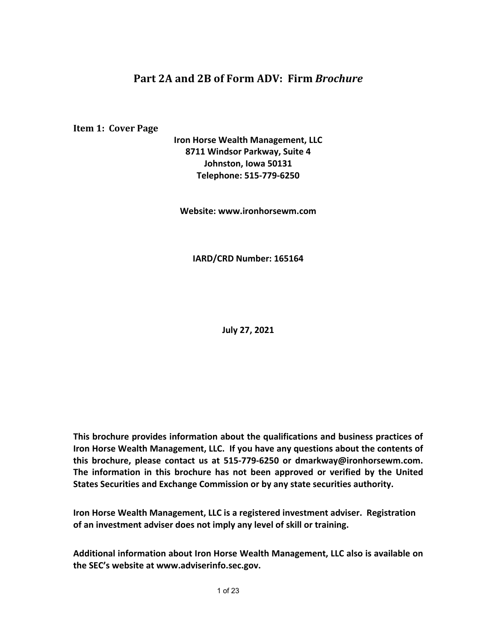# **Part 2A and 2B of Form ADV: Firm** *Brochure*

**Item 1: Cover Page** 

**Iron Horse Wealth Management, LLC 8711 Windsor Parkway, Suite 4 Johnston, Iowa 50131 Telephone: 515-779-6250**

**Website: www.ironhorsewm.com**

**IARD/CRD Number: 165164**

**July 27, 2021**

**This brochure provides information about the qualifications and business practices of Iron Horse Wealth Management, LLC. If you have any questions about the contents of this brochure, please contact us at 515-779-6250 or dmarkway@ironhorsewm.com. The information in this brochure has not been approved or verified by the United States Securities and Exchange Commission or by any state securities authority.** 

**Iron Horse Wealth Management, LLC is a registered investment adviser. Registration of an investment adviser does not imply any level of skill or training.**

**Additional information about Iron Horse Wealth Management, LLC also is available on the SEC's website at www.adviserinfo.sec.gov.**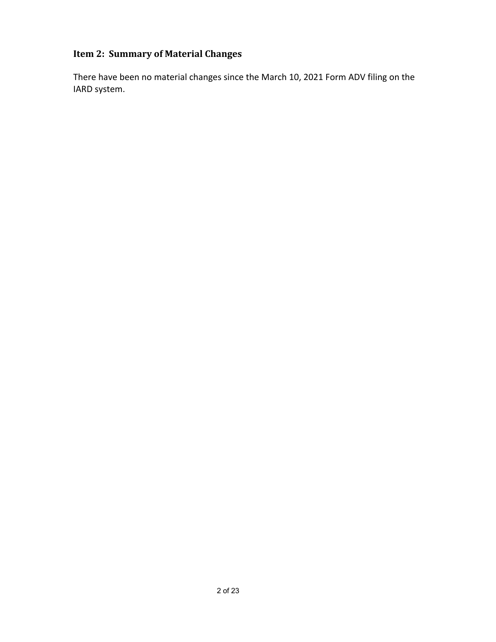# **Item 2: Summary of Material Changes**

There have been no material changes since the March 10, 2021 Form ADV filing on the IARD system.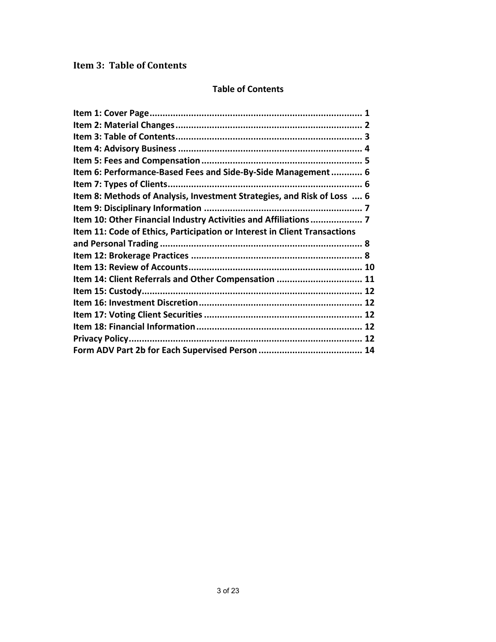## **Item 3: Table of Contents**

### **Table of Contents**

| Item 6: Performance-Based Fees and Side-By-Side Management 6              |  |
|---------------------------------------------------------------------------|--|
|                                                                           |  |
| Item 8: Methods of Analysis, Investment Strategies, and Risk of Loss  6   |  |
|                                                                           |  |
| Item 10: Other Financial Industry Activities and Affiliations  7          |  |
| Item 11: Code of Ethics, Participation or Interest in Client Transactions |  |
|                                                                           |  |
|                                                                           |  |
|                                                                           |  |
| Item 14: Client Referrals and Other Compensation  11                      |  |
|                                                                           |  |
|                                                                           |  |
|                                                                           |  |
|                                                                           |  |
|                                                                           |  |
|                                                                           |  |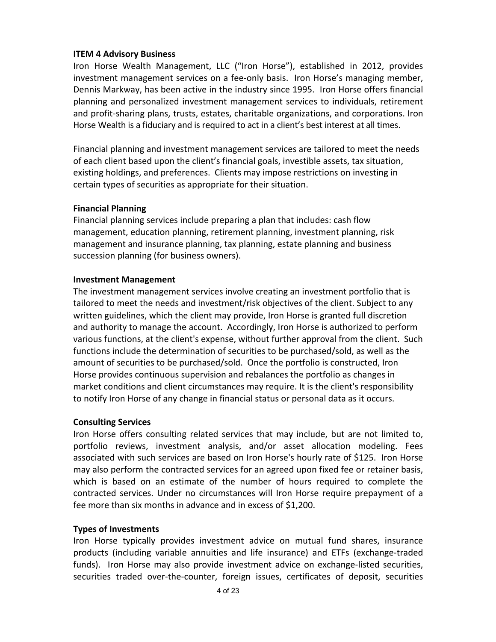### **ITEM 4 Advisory Business**

Iron Horse Wealth Management, LLC ("Iron Horse"), established in 2012, provides investment management services on a fee-only basis. Iron Horse's managing member, Dennis Markway, has been active in the industry since 1995. Iron Horse offers financial planning and personalized investment management services to individuals, retirement and profit-sharing plans, trusts, estates, charitable organizations, and corporations. Iron Horse Wealth is a fiduciary and is required to act in a client's best interest at all times.

Financial planning and investment management services are tailored to meet the needs of each client based upon the client's financial goals, investible assets, tax situation, existing holdings, and preferences. Clients may impose restrictions on investing in certain types of securities as appropriate for their situation.

### **Financial Planning**

Financial planning services include preparing a plan that includes: cash flow management, education planning, retirement planning, investment planning, risk management and insurance planning, tax planning, estate planning and business succession planning (for business owners).

### **Investment Management**

The investment management services involve creating an investment portfolio that is tailored to meet the needs and investment/risk objectives of the client. Subject to any written guidelines, which the client may provide, Iron Horse is granted full discretion and authority to manage the account. Accordingly, Iron Horse is authorized to perform various functions, at the client's expense, without further approval from the client. Such functions include the determination of securities to be purchased/sold, as well as the amount of securities to be purchased/sold. Once the portfolio is constructed, Iron Horse provides continuous supervision and rebalances the portfolio as changes in market conditions and client circumstances may require. It is the client's responsibility to notify Iron Horse of any change in financial status or personal data as it occurs.

### **Consulting Services**

Iron Horse offers consulting related services that may include, but are not limited to, portfolio reviews, investment analysis, and/or asset allocation modeling. Fees associated with such services are based on Iron Horse's hourly rate of \$125. Iron Horse may also perform the contracted services for an agreed upon fixed fee or retainer basis, which is based on an estimate of the number of hours required to complete the contracted services. Under no circumstances will Iron Horse require prepayment of a fee more than six months in advance and in excess of \$1,200.

## **Types of Investments**

Iron Horse typically provides investment advice on mutual fund shares, insurance products (including variable annuities and life insurance) and ETFs (exchange-traded funds). Iron Horse may also provide investment advice on exchange-listed securities, securities traded over-the-counter, foreign issues, certificates of deposit, securities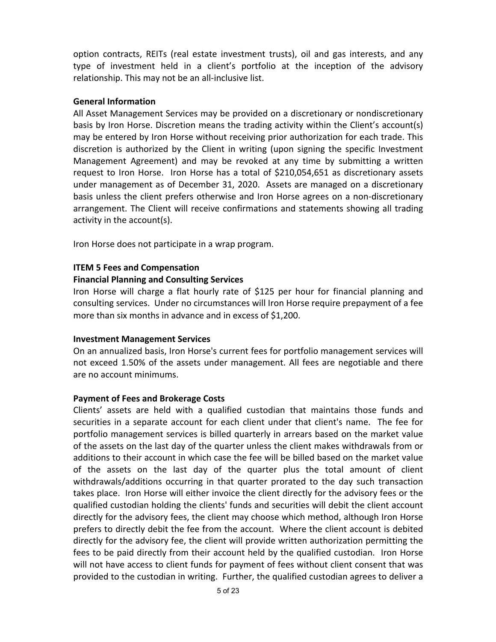option contracts, REITs (real estate investment trusts), oil and gas interests, and any type of investment held in a client's portfolio at the inception of the advisory relationship. This may not be an all-inclusive list.

## **General Information**

All Asset Management Services may be provided on a discretionary or nondiscretionary basis by Iron Horse. Discretion means the trading activity within the Client's account(s) may be entered by Iron Horse without receiving prior authorization for each trade. This discretion is authorized by the Client in writing (upon signing the specific Investment Management Agreement) and may be revoked at any time by submitting a written request to Iron Horse. Iron Horse has a total of \$210,054,651 as discretionary assets under management as of December 31, 2020. Assets are managed on a discretionary basis unless the client prefers otherwise and Iron Horse agrees on a non-discretionary arrangement. The Client will receive confirmations and statements showing all trading activity in the account(s).

Iron Horse does not participate in a wrap program.

### **ITEM 5 Fees and Compensation**

### **Financial Planning and Consulting Services**

Iron Horse will charge a flat hourly rate of \$125 per hour for financial planning and consulting services. Under no circumstances will Iron Horse require prepayment of a fee more than six months in advance and in excess of \$1,200.

### **Investment Management Services**

On an annualized basis, Iron Horse's current fees for portfolio management services will not exceed 1.50% of the assets under management. All fees are negotiable and there are no account minimums.

## **Payment of Fees and Brokerage Costs**

Clients' assets are held with a qualified custodian that maintains those funds and securities in a separate account for each client under that client's name. The fee for portfolio management services is billed quarterly in arrears based on the market value of the assets on the last day of the quarter unless the client makes withdrawals from or additions to their account in which case the fee will be billed based on the market value of the assets on the last day of the quarter plus the total amount of client withdrawals/additions occurring in that quarter prorated to the day such transaction takes place. Iron Horse will either invoice the client directly for the advisory fees or the qualified custodian holding the clients' funds and securities will debit the client account directly for the advisory fees, the client may choose which method, although Iron Horse prefers to directly debit the fee from the account. Where the client account is debited directly for the advisory fee, the client will provide written authorization permitting the fees to be paid directly from their account held by the qualified custodian. Iron Horse will not have access to client funds for payment of fees without client consent that was provided to the custodian in writing. Further, the qualified custodian agrees to deliver a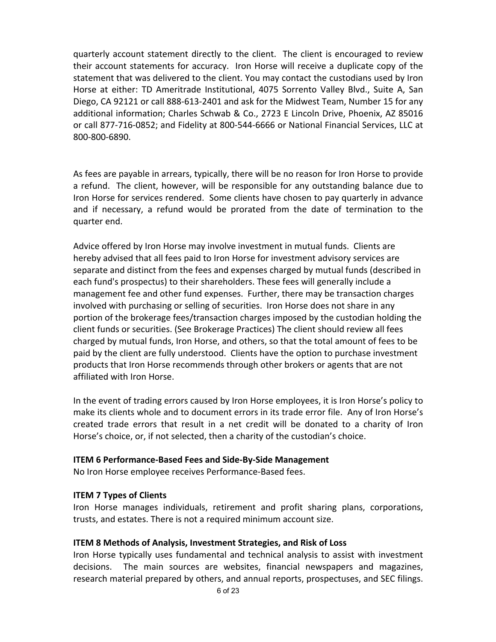quarterly account statement directly to the client. The client is encouraged to review their account statements for accuracy. Iron Horse will receive a duplicate copy of the statement that was delivered to the client. You may contact the custodians used by Iron Horse at either: TD Ameritrade Institutional, 4075 Sorrento Valley Blvd., Suite A, San Diego, CA 92121 or call 888-613-2401 and ask for the Midwest Team, Number 15 for any additional information; Charles Schwab & Co., 2723 E Lincoln Drive, Phoenix, AZ 85016 or call 877-716-0852; and Fidelity at 800-544-6666 or National Financial Services, LLC at 800-800-6890.

As fees are payable in arrears, typically, there will be no reason for Iron Horse to provide a refund. The client, however, will be responsible for any outstanding balance due to Iron Horse for services rendered. Some clients have chosen to pay quarterly in advance and if necessary, a refund would be prorated from the date of termination to the quarter end.

Advice offered by Iron Horse may involve investment in mutual funds. Clients are hereby advised that all fees paid to Iron Horse for investment advisory services are separate and distinct from the fees and expenses charged by mutual funds (described in each fund's prospectus) to their shareholders. These fees will generally include a management fee and other fund expenses. Further, there may be transaction charges involved with purchasing or selling of securities. Iron Horse does not share in any portion of the brokerage fees/transaction charges imposed by the custodian holding the client funds or securities. (See Brokerage Practices) The client should review all fees charged by mutual funds, Iron Horse, and others, so that the total amount of fees to be paid by the client are fully understood. Clients have the option to purchase investment products that Iron Horse recommends through other brokers or agents that are not affiliated with Iron Horse.

In the event of trading errors caused by Iron Horse employees, it is Iron Horse's policy to make its clients whole and to document errors in its trade error file. Any of Iron Horse's created trade errors that result in a net credit will be donated to a charity of Iron Horse's choice, or, if not selected, then a charity of the custodian's choice.

## **ITEM 6 Performance-Based Fees and Side-By-Side Management**

No Iron Horse employee receives Performance-Based fees.

## **ITEM 7 Types of Clients**

Iron Horse manages individuals, retirement and profit sharing plans, corporations, trusts, and estates. There is not a required minimum account size.

## **ITEM 8 Methods of Analysis, Investment Strategies, and Risk of Loss**

Iron Horse typically uses fundamental and technical analysis to assist with investment decisions. The main sources are websites, financial newspapers and magazines, research material prepared by others, and annual reports, prospectuses, and SEC filings.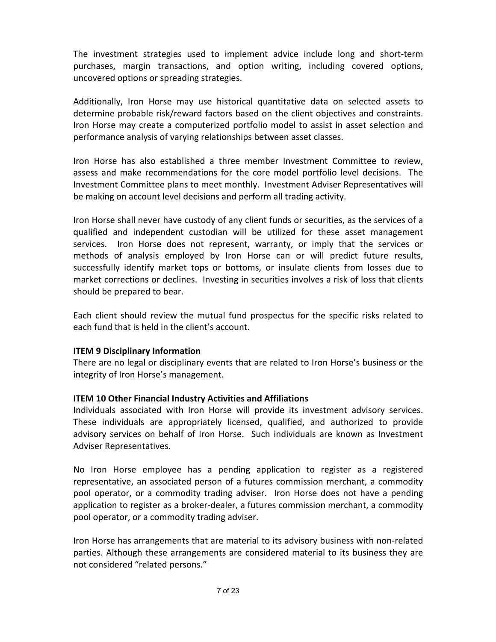The investment strategies used to implement advice include long and short-term purchases, margin transactions, and option writing, including covered options, uncovered options or spreading strategies.

Additionally, Iron Horse may use historical quantitative data on selected assets to determine probable risk/reward factors based on the client objectives and constraints. Iron Horse may create a computerized portfolio model to assist in asset selection and performance analysis of varying relationships between asset classes.

Iron Horse has also established a three member Investment Committee to review, assess and make recommendations for the core model portfolio level decisions. The Investment Committee plans to meet monthly. Investment Adviser Representatives will be making on account level decisions and perform all trading activity.

Iron Horse shall never have custody of any client funds or securities, as the services of a qualified and independent custodian will be utilized for these asset management services. Iron Horse does not represent, warranty, or imply that the services or methods of analysis employed by Iron Horse can or will predict future results, successfully identify market tops or bottoms, or insulate clients from losses due to market corrections or declines. Investing in securities involves a risk of loss that clients should be prepared to bear.

Each client should review the mutual fund prospectus for the specific risks related to each fund that is held in the client's account.

## **ITEM 9 Disciplinary Information**

There are no legal or disciplinary events that are related to Iron Horse's business or the integrity of Iron Horse's management.

## **ITEM 10 Other Financial Industry Activities and Affiliations**

Individuals associated with Iron Horse will provide its investment advisory services. These individuals are appropriately licensed, qualified, and authorized to provide advisory services on behalf of Iron Horse. Such individuals are known as Investment Adviser Representatives.

No Iron Horse employee has a pending application to register as a registered representative, an associated person of a futures commission merchant, a commodity pool operator, or a commodity trading adviser. Iron Horse does not have a pending application to register as a broker-dealer, a futures commission merchant, a commodity pool operator, or a commodity trading adviser.

Iron Horse has arrangements that are material to its advisory business with non-related parties. Although these arrangements are considered material to its business they are not considered "related persons."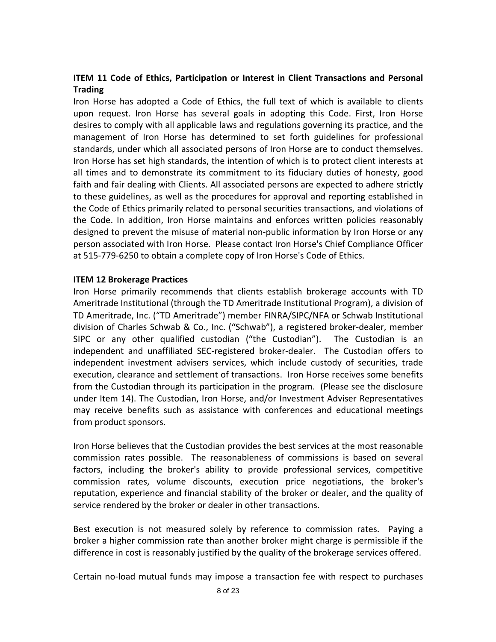## **ITEM 11 Code of Ethics, Participation or Interest in Client Transactions and Personal Trading**

Iron Horse has adopted a Code of Ethics, the full text of which is available to clients upon request. Iron Horse has several goals in adopting this Code. First, Iron Horse desires to comply with all applicable laws and regulations governing its practice, and the management of Iron Horse has determined to set forth guidelines for professional standards, under which all associated persons of Iron Horse are to conduct themselves. Iron Horse has set high standards, the intention of which is to protect client interests at all times and to demonstrate its commitment to its fiduciary duties of honesty, good faith and fair dealing with Clients. All associated persons are expected to adhere strictly to these guidelines, as well as the procedures for approval and reporting established in the Code of Ethics primarily related to personal securities transactions, and violations of the Code. In addition, Iron Horse maintains and enforces written policies reasonably designed to prevent the misuse of material non-public information by Iron Horse or any person associated with Iron Horse. Please contact Iron Horse's Chief Compliance Officer at 515-779-6250 to obtain a complete copy of Iron Horse's Code of Ethics.

## **ITEM 12 Brokerage Practices**

Iron Horse primarily recommends that clients establish brokerage accounts with TD Ameritrade Institutional (through the TD Ameritrade Institutional Program), a division of TD Ameritrade, Inc. ("TD Ameritrade") member FINRA/SIPC/NFA or Schwab Institutional division of Charles Schwab & Co., Inc. ("Schwab"), a registered broker-dealer, member SIPC or any other qualified custodian ("the Custodian"). The Custodian is an independent and unaffiliated SEC-registered broker-dealer. The Custodian offers to independent investment advisers services, which include custody of securities, trade execution, clearance and settlement of transactions. Iron Horse receives some benefits from the Custodian through its participation in the program. (Please see the disclosure under Item 14). The Custodian, Iron Horse, and/or Investment Adviser Representatives may receive benefits such as assistance with conferences and educational meetings from product sponsors.

Iron Horse believes that the Custodian provides the best services at the most reasonable commission rates possible. The reasonableness of commissions is based on several factors, including the broker's ability to provide professional services, competitive commission rates, volume discounts, execution price negotiations, the broker's reputation, experience and financial stability of the broker or dealer, and the quality of service rendered by the broker or dealer in other transactions.

Best execution is not measured solely by reference to commission rates. Paying a broker a higher commission rate than another broker might charge is permissible if the difference in cost is reasonably justified by the quality of the brokerage services offered.

Certain no-load mutual funds may impose a transaction fee with respect to purchases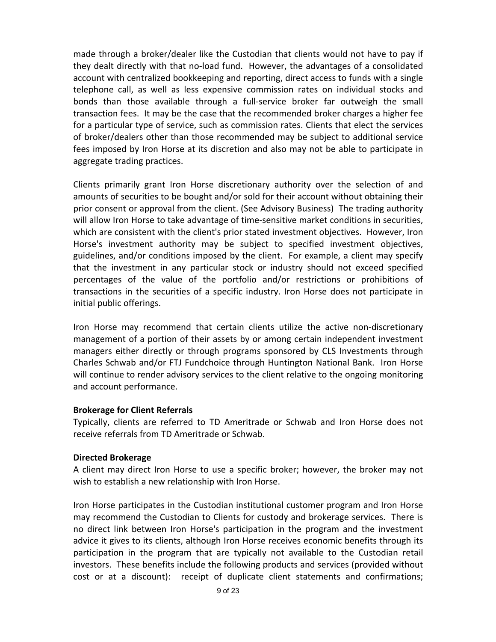made through a broker/dealer like the Custodian that clients would not have to pay if they dealt directly with that no-load fund. However, the advantages of a consolidated account with centralized bookkeeping and reporting, direct access to funds with a single telephone call, as well as less expensive commission rates on individual stocks and bonds than those available through a full-service broker far outweigh the small transaction fees. It may be the case that the recommended broker charges a higher fee for a particular type of service, such as commission rates. Clients that elect the services of broker/dealers other than those recommended may be subject to additional service fees imposed by Iron Horse at its discretion and also may not be able to participate in aggregate trading practices.

Clients primarily grant Iron Horse discretionary authority over the selection of and amounts of securities to be bought and/or sold for their account without obtaining their prior consent or approval from the client. (See Advisory Business) The trading authority will allow Iron Horse to take advantage of time-sensitive market conditions in securities, which are consistent with the client's prior stated investment objectives. However, Iron Horse's investment authority may be subject to specified investment objectives, guidelines, and/or conditions imposed by the client. For example, a client may specify that the investment in any particular stock or industry should not exceed specified percentages of the value of the portfolio and/or restrictions or prohibitions of transactions in the securities of a specific industry. Iron Horse does not participate in initial public offerings.

Iron Horse may recommend that certain clients utilize the active non-discretionary management of a portion of their assets by or among certain independent investment managers either directly or through programs sponsored by CLS Investments through Charles Schwab and/or FTJ Fundchoice through Huntington National Bank. Iron Horse will continue to render advisory services to the client relative to the ongoing monitoring and account performance.

## **Brokerage for Client Referrals**

Typically, clients are referred to TD Ameritrade or Schwab and Iron Horse does not receive referrals from TD Ameritrade or Schwab.

## **Directed Brokerage**

A client may direct Iron Horse to use a specific broker; however, the broker may not wish to establish a new relationship with Iron Horse.

Iron Horse participates in the Custodian institutional customer program and Iron Horse may recommend the Custodian to Clients for custody and brokerage services. There is no direct link between Iron Horse's participation in the program and the investment advice it gives to its clients, although Iron Horse receives economic benefits through its participation in the program that are typically not available to the Custodian retail investors. These benefits include the following products and services (provided without cost or at a discount): receipt of duplicate client statements and confirmations;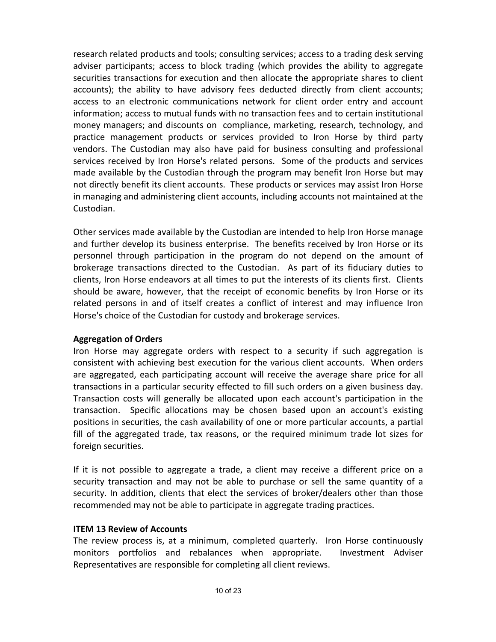research related products and tools; consulting services; access to a trading desk serving adviser participants; access to block trading (which provides the ability to aggregate securities transactions for execution and then allocate the appropriate shares to client accounts); the ability to have advisory fees deducted directly from client accounts; access to an electronic communications network for client order entry and account information; access to mutual funds with no transaction fees and to certain institutional money managers; and discounts on compliance, marketing, research, technology, and practice management products or services provided to Iron Horse by third party vendors. The Custodian may also have paid for business consulting and professional services received by Iron Horse's related persons. Some of the products and services made available by the Custodian through the program may benefit Iron Horse but may not directly benefit its client accounts. These products or services may assist Iron Horse in managing and administering client accounts, including accounts not maintained at the Custodian.

Other services made available by the Custodian are intended to help Iron Horse manage and further develop its business enterprise. The benefits received by Iron Horse or its personnel through participation in the program do not depend on the amount of brokerage transactions directed to the Custodian. As part of its fiduciary duties to clients, Iron Horse endeavors at all times to put the interests of its clients first. Clients should be aware, however, that the receipt of economic benefits by Iron Horse or its related persons in and of itself creates a conflict of interest and may influence Iron Horse's choice of the Custodian for custody and brokerage services.

## **Aggregation of Orders**

Iron Horse may aggregate orders with respect to a security if such aggregation is consistent with achieving best execution for the various client accounts. When orders are aggregated, each participating account will receive the average share price for all transactions in a particular security effected to fill such orders on a given business day. Transaction costs will generally be allocated upon each account's participation in the transaction. Specific allocations may be chosen based upon an account's existing positions in securities, the cash availability of one or more particular accounts, a partial fill of the aggregated trade, tax reasons, or the required minimum trade lot sizes for foreign securities.

If it is not possible to aggregate a trade, a client may receive a different price on a security transaction and may not be able to purchase or sell the same quantity of a security. In addition, clients that elect the services of broker/dealers other than those recommended may not be able to participate in aggregate trading practices.

## **ITEM 13 Review of Accounts**

The review process is, at a minimum, completed quarterly. Iron Horse continuously monitors portfolios and rebalances when appropriate. Investment Adviser Representatives are responsible for completing all client reviews.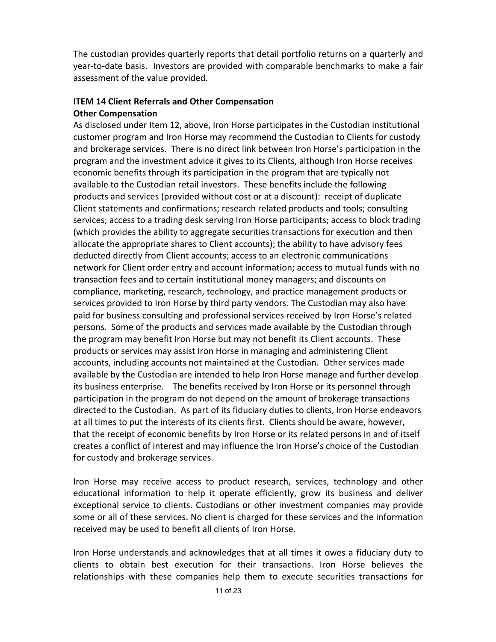The custodian provides quarterly reports that detail portfolio returns on a quarterly and year-to-date basis. Investors are provided with comparable benchmarks to make a fair assessment of the value provided.

## **ITEM 14 Client Referrals and Other Compensation Other Compensation**

As disclosed under Item 12, above, Iron Horse participates in the Custodian institutional customer program and Iron Horse may recommend the Custodian to Clients for custody and brokerage services. There is no direct link between Iron Horse's participation in the program and the investment advice it gives to its Clients, although Iron Horse receives economic benefits through its participation in the program that are typically not available to the Custodian retail investors. These benefits include the following products and services (provided without cost or at a discount): receipt of duplicate Client statements and confirmations; research related products and tools; consulting services; access to a trading desk serving Iron Horse participants; access to block trading (which provides the ability to aggregate securities transactions for execution and then allocate the appropriate shares to Client accounts); the ability to have advisory fees deducted directly from Client accounts; access to an electronic communications network for Client order entry and account information; access to mutual funds with no transaction fees and to certain institutional money managers; and discounts on compliance, marketing, research, technology, and practice management products or services provided to Iron Horse by third party vendors. The Custodian may also have paid for business consulting and professional services received by Iron Horse's related persons. Some of the products and services made available by the Custodian through the program may benefit Iron Horse but may not benefit its Client accounts. These products or services may assist Iron Horse in managing and administering Client accounts, including accounts not maintained at the Custodian. Other services made available by the Custodian are intended to help Iron Horse manage and further develop its business enterprise. The benefits received by Iron Horse or its personnel through participation in the program do not depend on the amount of brokerage transactions directed to the Custodian. As part of its fiduciary duties to clients, Iron Horse endeavors at all times to put the interests of its clients first. Clients should be aware, however, that the receipt of economic benefits by Iron Horse or its related persons in and of itself creates a conflict of interest and may influence the Iron Horse's choice of the Custodian for custody and brokerage services.

Iron Horse may receive access to product research, services, technology and other educational information to help it operate efficiently, grow its business and deliver exceptional service to clients. Custodians or other investment companies may provide some or all of these services. No client is charged for these services and the information received may be used to benefit all clients of Iron Horse.

Iron Horse understands and acknowledges that at all times it owes a fiduciary duty to clients to obtain best execution for their transactions. Iron Horse believes the relationships with these companies help them to execute securities transactions for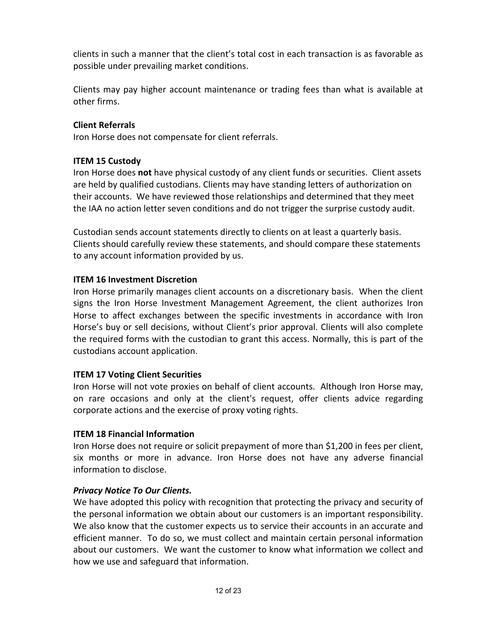clients in such a manner that the client's total cost in each transaction is as favorable as possible under prevailing market conditions.

Clients may pay higher account maintenance or trading fees than what is available at other firms.

## **Client Referrals**

Iron Horse does not compensate for client referrals.

## **ITEM 15 Custody**

Iron Horse does **not** have physical custody of any client funds or securities. Client assets are held by qualified custodians. Clients may have standing letters of authorization on their accounts. We have reviewed those relationships and determined that they meet the IAA no action letter seven conditions and do not trigger the surprise custody audit.

Custodian sends account statements directly to clients on at least a quarterly basis. Clients should carefully review these statements, and should compare these statements to any account information provided by us.

## **ITEM 16 Investment Discretion**

Iron Horse primarily manages client accounts on a discretionary basis. When the client signs the Iron Horse Investment Management Agreement, the client authorizes Iron Horse to affect exchanges between the specific investments in accordance with Iron Horse's buy or sell decisions, without Client's prior approval. Clients will also complete the required forms with the custodian to grant this access. Normally, this is part of the custodians account application.

## **ITEM 17 Voting Client Securities**

Iron Horse will not vote proxies on behalf of client accounts. Although Iron Horse may, on rare occasions and only at the client's request, offer clients advice regarding corporate actions and the exercise of proxy voting rights.

## **ITEM 18 Financial Information**

Iron Horse does not require or solicit prepayment of more than \$1,200 in fees per client, six months or more in advance. Iron Horse does not have any adverse financial information to disclose.

## *Privacy Notice To Our Clients.*

We have adopted this policy with recognition that protecting the privacy and security of the personal information we obtain about our customers is an important responsibility. We also know that the customer expects us to service their accounts in an accurate and efficient manner. To do so, we must collect and maintain certain personal information about our customers. We want the customer to know what information we collect and how we use and safeguard that information.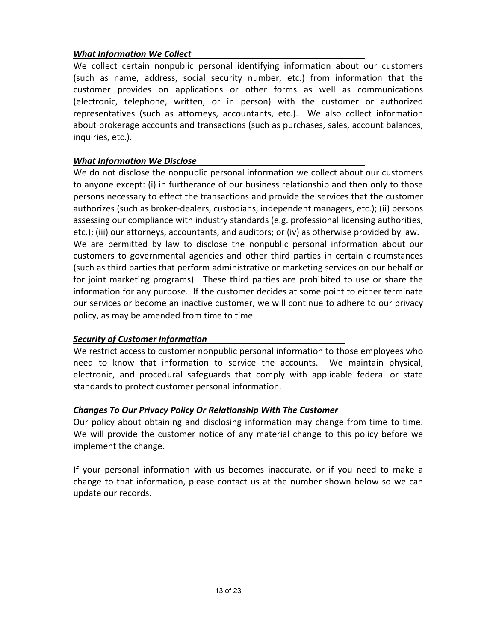## *What Information We Collect*

We collect certain nonpublic personal identifying information about our customers (such as name, address, social security number, etc.) from information that the customer provides on applications or other forms as well as communications (electronic, telephone, written, or in person) with the customer or authorized representatives (such as attorneys, accountants, etc.). We also collect information about brokerage accounts and transactions (such as purchases, sales, account balances, inquiries, etc.).

## *What Information We Disclose*

We do not disclose the nonpublic personal information we collect about our customers to anyone except: (i) in furtherance of our business relationship and then only to those persons necessary to effect the transactions and provide the services that the customer authorizes (such as broker-dealers, custodians, independent managers, etc.); (ii) persons assessing our compliance with industry standards (e.g. professional licensing authorities, etc.); (iii) our attorneys, accountants, and auditors; or (iv) as otherwise provided by law. We are permitted by law to disclose the nonpublic personal information about our customers to governmental agencies and other third parties in certain circumstances (such as third parties that perform administrative or marketing services on our behalf or for joint marketing programs). These third parties are prohibited to use or share the information for any purpose. If the customer decides at some point to either terminate our services or become an inactive customer, we will continue to adhere to our privacy policy, as may be amended from time to time.

## *Security of Customer Information*

We restrict access to customer nonpublic personal information to those employees who need to know that information to service the accounts. We maintain physical, electronic, and procedural safeguards that comply with applicable federal or state standards to protect customer personal information.

## *Changes To Our Privacy Policy Or Relationship With The Customer*

Our policy about obtaining and disclosing information may change from time to time. We will provide the customer notice of any material change to this policy before we implement the change.

If your personal information with us becomes inaccurate, or if you need to make a change to that information, please contact us at the number shown below so we can update our records.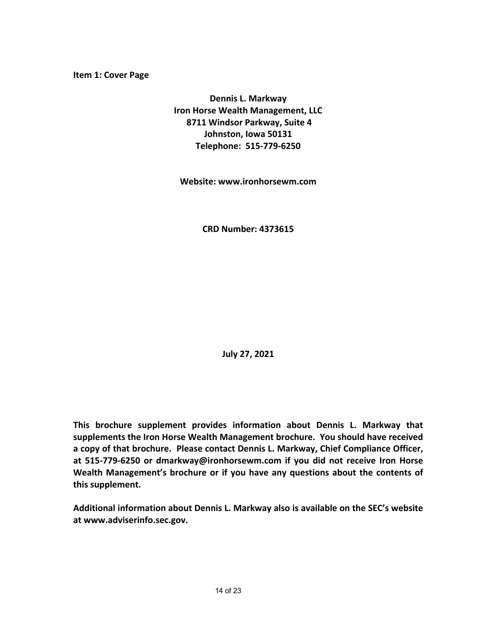**Dennis L. Markway Iron Horse Wealth Management, LLC 8711 Windsor Parkway, Suite 4 Johnston, Iowa 50131 Telephone: 515-779-6250**

**Website: www.ironhorsewm.com**

**CRD Number: 4373615**

**July 27, 2021**

**This brochure supplement provides information about Dennis L. Markway that supplements the Iron Horse Wealth Management brochure. You should have received a copy of that brochure. Please contact Dennis L. Markway, Chief Compliance Officer, at 515-779-6250 or dmarkway@ironhorsewm.com if you did not receive Iron Horse Wealth Management's brochure or if you have any questions about the contents of this supplement.**

**Additional information about Dennis L. Markway also is available on the SEC's website at www.adviserinfo.sec.gov.**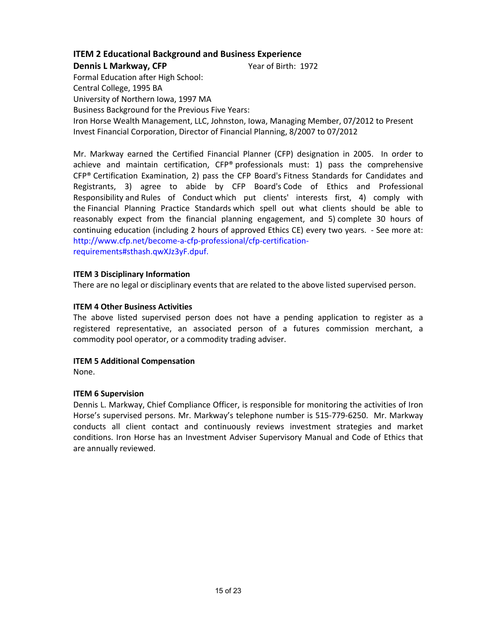### **Dennis L Markway, CFP** Year of Birth: 1972

Formal Education after High School: Central College, 1995 BA University of Northern Iowa, 1997 MA Business Background for the Previous Five Years: Iron Horse Wealth Management, LLC, Johnston, Iowa, Managing Member, 07/2012 to Present Invest Financial Corporation, Director of Financial Planning, 8/2007 to 07/2012

Mr. Markway earned the Certified Financial Planner (CFP) designation in 2005. In order to achieve and maintain certification,  $CF^{\circ}$  professionals must: 1) pass the comprehensive CFP® Certification Examination, 2) pass the CFP Board's Fitness Standards for Candidates and Registrants, 3) agree to abide by CFP Board's Code of Ethics and Professional Responsibility and Rules of Conduct which put clients' interests first, 4) comply with the Financial Planning Practice Standards which spell out what clients should be able to reasonably expect from the financial planning engagement, and 5) complete 30 hours of continuing education (including 2 hours of approved Ethics CE) every two years. - See more at: http://www.cfp.net/become-a-cfp-professional/cfp-certificationrequirements#sthash.qwXJz3yF.dpuf.

### **ITEM 3 Disciplinary Information**

There are no legal or disciplinary events that are related to the above listed supervised person.

### **ITEM 4 Other Business Activities**

The above listed supervised person does not have a pending application to register as a registered representative, an associated person of a futures commission merchant, a commodity pool operator, or a commodity trading adviser.

# **ITEM 5 Additional Compensation**

None.

### **ITEM 6 Supervision**

Dennis L. Markway, Chief Compliance Officer, is responsible for monitoring the activities of Iron Horse's supervised persons. Mr. Markway's telephone number is 515-779-6250. Mr. Markway conducts all client contact and continuously reviews investment strategies and market conditions. Iron Horse has an Investment Adviser Supervisory Manual and Code of Ethics that are annually reviewed.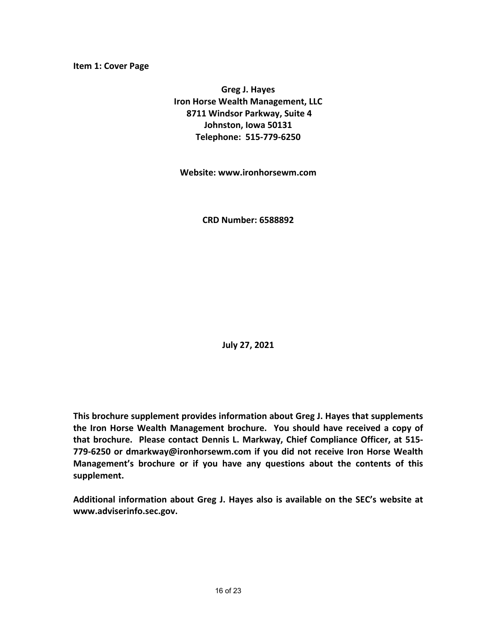**Greg J. Hayes Iron Horse Wealth Management, LLC 8711 Windsor Parkway, Suite 4 Johnston, Iowa 50131 Telephone: 515-779-6250**

**Website: www.ironhorsewm.com**

**CRD Number: 6588892**

**July 27, 2021**

**This brochure supplement provides information about Greg J. Hayes that supplements the Iron Horse Wealth Management brochure. You should have received a copy of that brochure. Please contact Dennis L. Markway, Chief Compliance Officer, at 515- 779-6250 or dmarkway@ironhorsewm.com if you did not receive Iron Horse Wealth Management's brochure or if you have any questions about the contents of this supplement.**

**Additional information about Greg J. Hayes also is available on the SEC's website at www.adviserinfo.sec.gov.**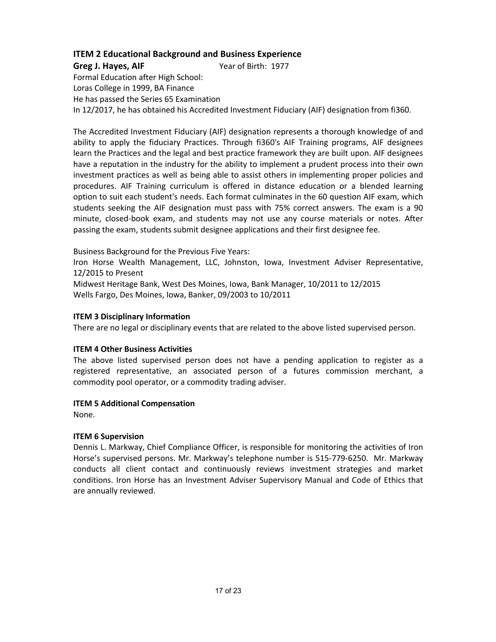**Greg J. Hayes, AIF** Year of Birth: 1977

Formal Education after High School: Loras College in 1999, BA Finance He has passed the Series 65 Examination In 12/2017, he has obtained his Accredited Investment Fiduciary (AIF) designation from fi360.

The Accredited Investment Fiduciary (AIF) designation represents a thorough knowledge of and ability to apply the fiduciary Practices. Through fi360's AIF Training programs, AIF designees learn the Practices and the legal and best practice framework they are built upon. AIF designees have a reputation in the industry for the ability to implement a prudent process into their own investment practices as well as being able to assist others in implementing proper policies and procedures. AIF Training curriculum is offered in distance education or a blended learning option to suit each student's needs. Each format culminates in the 60 question AIF exam, which students seeking the AIF designation must pass with 75% correct answers. The exam is a 90 minute, closed-book exam, and students may not use any course materials or notes. After passing the exam, students submit designee applications and their first designee fee.

Business Background for the Previous Five Years:

Iron Horse Wealth Management, LLC, Johnston, Iowa, Investment Adviser Representative, 12/2015 to Present

Midwest Heritage Bank, West Des Moines, Iowa, Bank Manager, 10/2011 to 12/2015 Wells Fargo, Des Moines, Iowa, Banker, 09/2003 to 10/2011

### **ITEM 3 Disciplinary Information**

There are no legal or disciplinary events that are related to the above listed supervised person.

### **ITEM 4 Other Business Activities**

The above listed supervised person does not have a pending application to register as a registered representative, an associated person of a futures commission merchant, a commodity pool operator, or a commodity trading adviser.

### **ITEM 5 Additional Compensation**

None.

### **ITEM 6 Supervision**

Dennis L. Markway, Chief Compliance Officer, is responsible for monitoring the activities of Iron Horse's supervised persons. Mr. Markway's telephone number is 515-779-6250. Mr. Markway conducts all client contact and continuously reviews investment strategies and market conditions. Iron Horse has an Investment Adviser Supervisory Manual and Code of Ethics that are annually reviewed.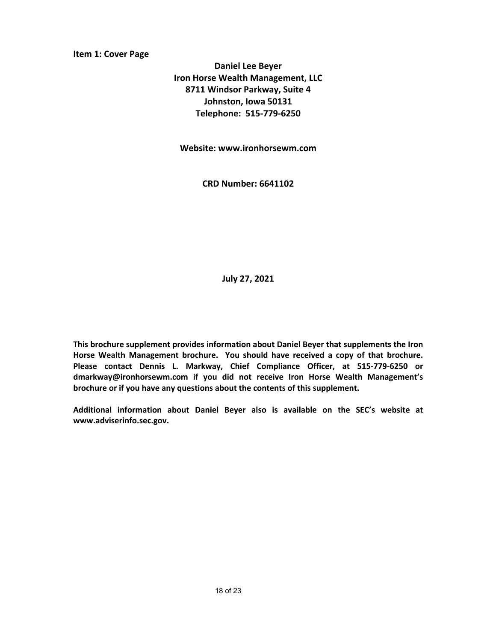**Daniel Lee Beyer Iron Horse Wealth Management, LLC 8711 Windsor Parkway, Suite 4 Johnston, Iowa 50131 Telephone: 515-779-6250**

**Website: www.ironhorsewm.com**

**CRD Number: 6641102**

**July 27, 2021**

**This brochure supplement provides information about Daniel Beyer that supplements the Iron Horse Wealth Management brochure. You should have received a copy of that brochure. Please contact Dennis L. Markway, Chief Compliance Officer, at 515-779-6250 or dmarkway@ironhorsewm.com if you did not receive Iron Horse Wealth Management's brochure or if you have any questions about the contents of this supplement.**

**Additional information about Daniel Beyer also is available on the SEC's website at www.adviserinfo.sec.gov.**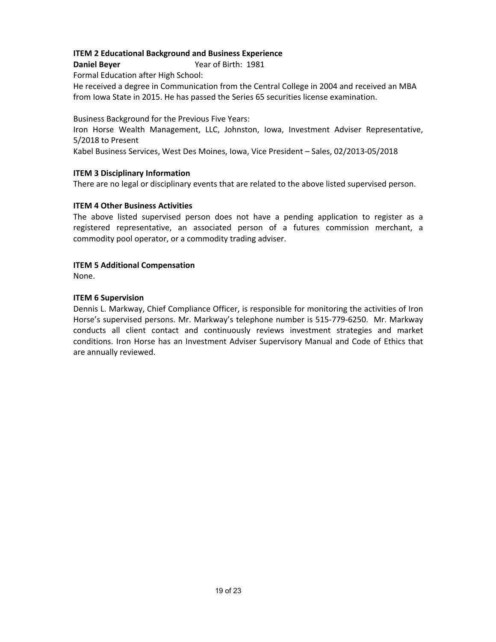**Daniel Beyer** Year of Birth: 1981

Formal Education after High School:

He received a degree in Communication from the Central College in 2004 and received an MBA from Iowa State in 2015. He has passed the Series 65 securities license examination.

Business Background for the Previous Five Years: Iron Horse Wealth Management, LLC, Johnston, Iowa, Investment Adviser Representative, 5/2018 to Present

Kabel Business Services, West Des Moines, Iowa, Vice President – Sales, 02/2013-05/2018

### **ITEM 3 Disciplinary Information**

There are no legal or disciplinary events that are related to the above listed supervised person.

#### **ITEM 4 Other Business Activities**

The above listed supervised person does not have a pending application to register as a registered representative, an associated person of a futures commission merchant, a commodity pool operator, or a commodity trading adviser.

#### **ITEM 5 Additional Compensation**

None.

#### **ITEM 6 Supervision**

Dennis L. Markway, Chief Compliance Officer, is responsible for monitoring the activities of Iron Horse's supervised persons. Mr. Markway's telephone number is 515-779-6250. Mr. Markway conducts all client contact and continuously reviews investment strategies and market conditions. Iron Horse has an Investment Adviser Supervisory Manual and Code of Ethics that are annually reviewed.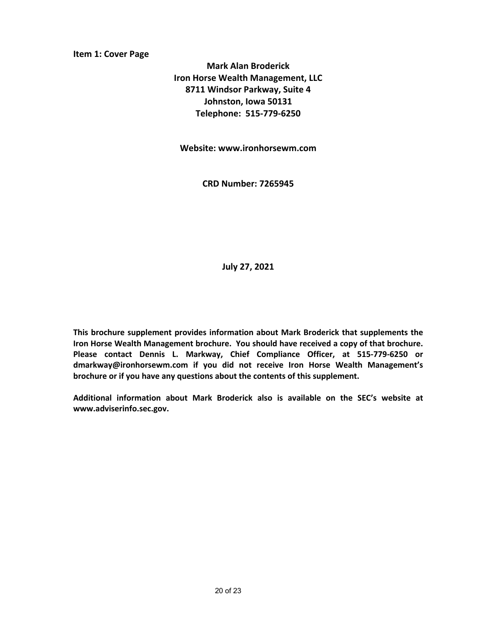**Mark Alan Broderick Iron Horse Wealth Management, LLC 8711 Windsor Parkway, Suite 4 Johnston, Iowa 50131 Telephone: 515-779-6250**

**Website: www.ironhorsewm.com**

**CRD Number: 7265945**

**July 27, 2021**

**This brochure supplement provides information about Mark Broderick that supplements the Iron Horse Wealth Management brochure. You should have received a copy of that brochure. Please contact Dennis L. Markway, Chief Compliance Officer, at 515-779-6250 or dmarkway@ironhorsewm.com if you did not receive Iron Horse Wealth Management's brochure or if you have any questions about the contents of this supplement.**

**Additional information about Mark Broderick also is available on the SEC's website at www.adviserinfo.sec.gov.**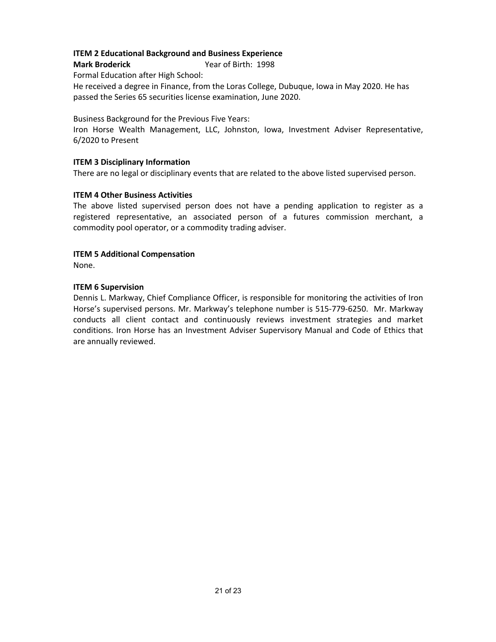**Mark Broderick** Year of Birth: 1998

Formal Education after High School:

He received a degree in Finance, from the Loras College, Dubuque, Iowa in May 2020. He has passed the Series 65 securities license examination, June 2020.

Business Background for the Previous Five Years:

Iron Horse Wealth Management, LLC, Johnston, Iowa, Investment Adviser Representative, 6/2020 to Present

### **ITEM 3 Disciplinary Information**

There are no legal or disciplinary events that are related to the above listed supervised person.

### **ITEM 4 Other Business Activities**

The above listed supervised person does not have a pending application to register as a registered representative, an associated person of a futures commission merchant, a commodity pool operator, or a commodity trading adviser.

### **ITEM 5 Additional Compensation**

None.

### **ITEM 6 Supervision**

Dennis L. Markway, Chief Compliance Officer, is responsible for monitoring the activities of Iron Horse's supervised persons. Mr. Markway's telephone number is 515-779-6250. Mr. Markway conducts all client contact and continuously reviews investment strategies and market conditions. Iron Horse has an Investment Adviser Supervisory Manual and Code of Ethics that are annually reviewed.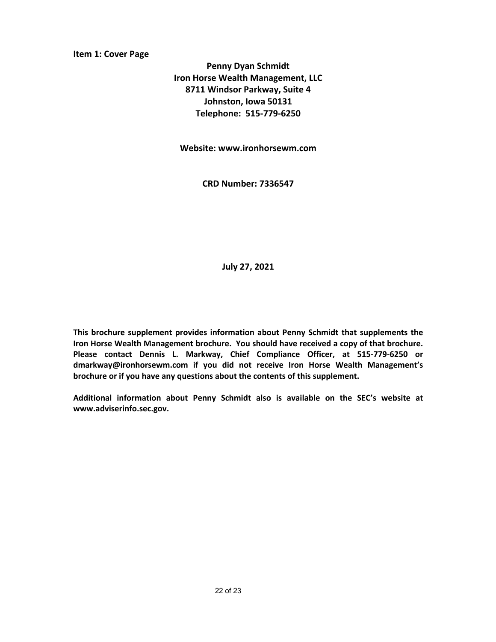**Penny Dyan Schmidt Iron Horse Wealth Management, LLC 8711 Windsor Parkway, Suite 4 Johnston, Iowa 50131 Telephone: 515-779-6250**

**Website: www.ironhorsewm.com**

**CRD Number: 7336547**

**July 27, 2021**

**This brochure supplement provides information about Penny Schmidt that supplements the Iron Horse Wealth Management brochure. You should have received a copy of that brochure. Please contact Dennis L. Markway, Chief Compliance Officer, at 515-779-6250 or dmarkway@ironhorsewm.com if you did not receive Iron Horse Wealth Management's brochure or if you have any questions about the contents of this supplement.**

**Additional information about Penny Schmidt also is available on the SEC's website at www.adviserinfo.sec.gov.**